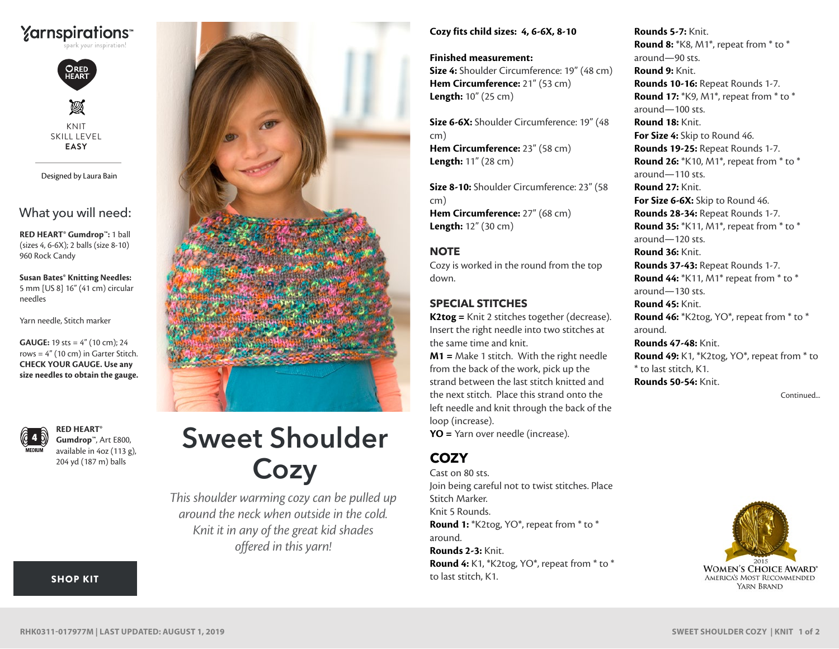



Ø KNIT SKILL LEVEL **EASY**

Designed by Laura Bain

## What you will need:

**RED HEART® Gumdrop™:** 1 ball (sizes 4, 6-6X); 2 balls (size 8-10) 960 Rock Candy

**Susan Bates® Knitting Needles:** 5 mm [US 8] 16" (41 cm) circular needles

Yarn needle, Stitch marker

rows =  $4''$  (10 cm) in Garter Stitch. **CHECK YOUR GAUGE. Use any size needles to obtain the gauge. GAUGE:** 19 sts = 4" (10 cm); 24



**RED HEART® Gumdrop™**, Art E800, available in 4oz (113 g), 204 yd (187 m) balls

[SHOP KIT](https://www.yarnspirations.com/red-heart-sweet-shoulder-cozy/RHK0311-017977M.html#utm_source=pdf-yarnspirations&utm_medium=referral&utm_campaign=pdf-RHK0311-017977M)



# Sweet Shoulder **Cozy**

*This shoulder warming cozy can be pulled up around the neck when outside in the cold. Knit it in any of the great kid shades offered in this yarn!*

#### **Cozy fits child sizes: 4, 6-6X, 8-10**

**Finished measurement: Size 4:** Shoulder Circumference: 19" (48 cm) **Hem Circumference:** 21" (53 cm) **Length:** 10" (25 cm)

**Size 6-6X:** Shoulder Circumference: 19" (48 cm) **Hem Circumference:** 23" (58 cm) **Length:** 11" (28 cm)

**Size 8-10:** Shoulder Circumference: 23" (58 cm) **Hem Circumference:** 27" (68 cm) **Length:** 12" (30 cm)

## **NOTE**

Cozy is worked in the round from the top down.

## **SPECIAL STITCHES**

**K2tog =** Knit 2 stitches together (decrease). Insert the right needle into two stitches at the same time and knit.

**M1 =** Make 1 stitch. With the right needle from the back of the work, pick up the strand between the last stitch knitted and the next stitch. Place this strand onto the left needle and knit through the back of the loop (increase).

**YO =** Yarn over needle (increase).

## **COZY**

Cast on 80 sts. Join being careful not to twist stitches. Place Stitch Marker. Knit 5 Rounds. **Round 1:** \*K2tog, YO\*, repeat from \* to \* around. **Rounds 2-3:** Knit. **Round 4:** K1, \*K2tog, YO\*, repeat from \* to \* to last stitch, K1.

**Rounds 5-7:** Knit. **Round 8:** \*K8, M1\*, repeat from \* to \* around—90 sts. **Round 9:** Knit. **Rounds 10-16:** Repeat Rounds 1-7. **Round 17:** \*K9, M1\*, repeat from \* to \* around—100 sts. **Round 18:** Knit. **For Size 4:** Skip to Round 46. **Rounds 19-25:** Repeat Rounds 1-7. **Round 26:** \*K10, M1\*, repeat from \* to \* around—110 sts. **Round 27:** Knit. **For Size 6-6X:** Skip to Round 46. **Rounds 28-34:** Repeat Rounds 1-7. **Round 35:** \*K11, M1\*, repeat from \* to \* around—120 sts. **Round 36:** Knit. **Rounds 37-43:** Repeat Rounds 1-7. **Round 44:** \*K11, M1\* repeat from \* to \* around—130 sts. **Round 45:** Knit. **Round 46:** \*K2tog, YO\*, repeat from \* to \* around. **Rounds 47-48:** Knit. **Round 49:** K1, \*K2tog, YO\*, repeat from \* to \* to last stitch, K1. **Rounds 50-54:** Knit.

Continued...



### ©2015 Coats & Clark **RHK0311-017977M | LAST UPDATED: AUGUST 1, 2019**